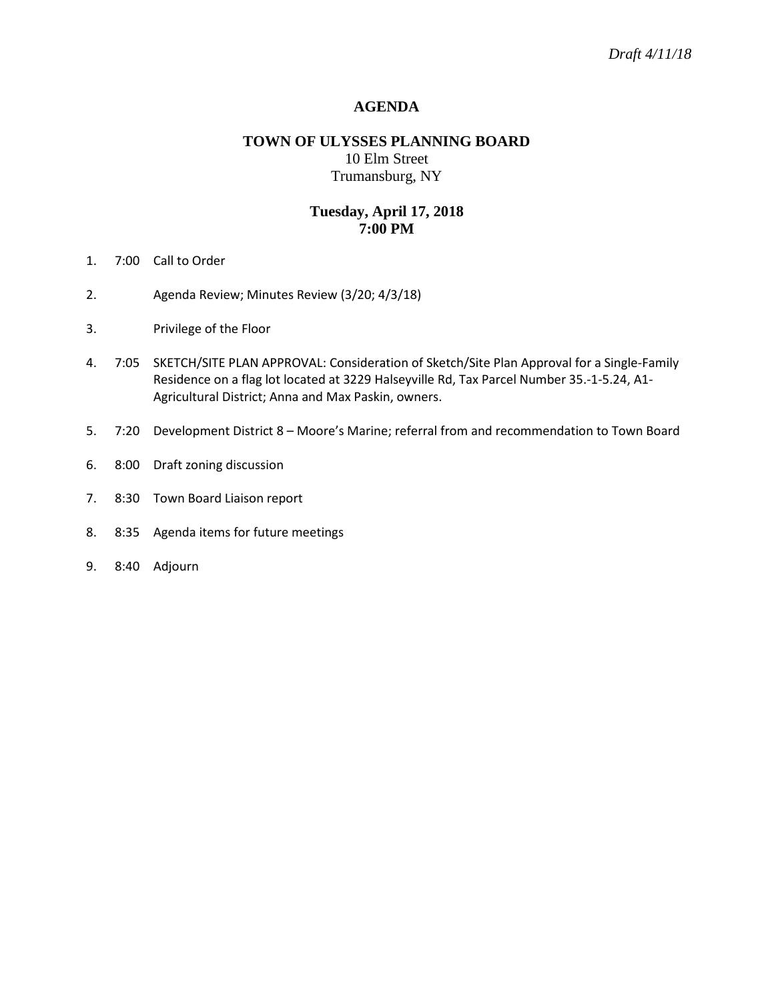### **AGENDA**

# **TOWN OF ULYSSES PLANNING BOARD** 10 Elm Street Trumansburg, NY

## **Tuesday, April 17, 2018 7:00 PM**

- 1. 7:00 Call to Order
- 2. Agenda Review; Minutes Review (3/20; 4/3/18)
- 3. Privilege of the Floor
- 4. 7:05 SKETCH/SITE PLAN APPROVAL: Consideration of Sketch/Site Plan Approval for a Single-Family Residence on a flag lot located at 3229 Halseyville Rd, Tax Parcel Number 35.-1-5.24, A1- Agricultural District; Anna and Max Paskin, owners.
- 5. 7:20 Development District 8 Moore's Marine; referral from and recommendation to Town Board
- 6. 8:00 Draft zoning discussion
- 7. 8:30 Town Board Liaison report
- 8. 8:35 Agenda items for future meetings
- 9. 8:40 Adjourn